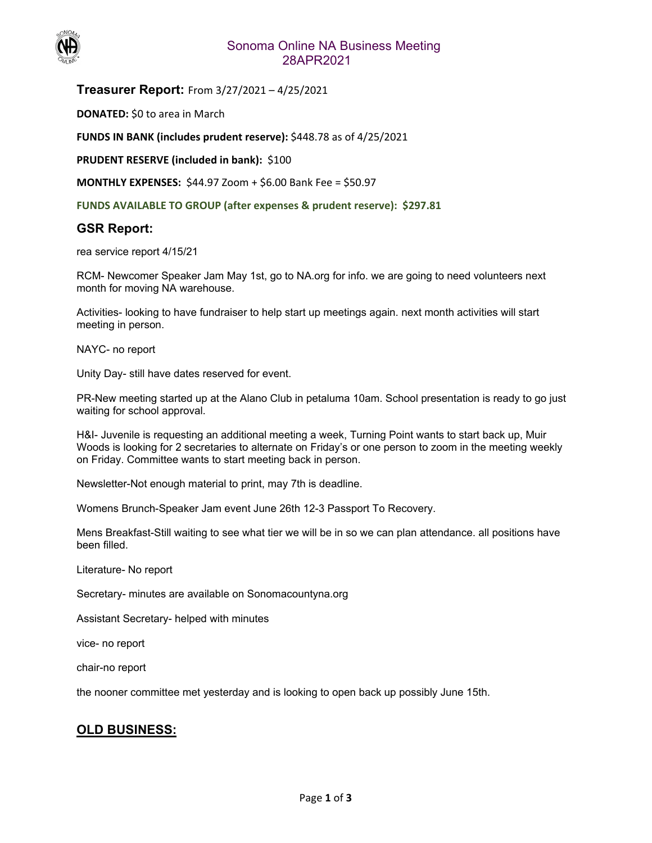

### Sonoma Online NA Business Meeting 28APR2021

**Treasurer Report:** From 3/27/2021 – 4/25/2021

**DONATED:** \$0 to area in March

**FUNDS IN BANK (includes prudent reserve):** \$448.78 as of 4/25/2021

**PRUDENT RESERVE (included in bank): \$100** 

**MONTHLY EXPENSES:** \$44.97 Zoom + \$6.00 Bank Fee = \$50.97

**FUNDS AVAILABLE TO GROUP (after expenses & prudent reserve): \$297.81** 

#### **GSR Report:**

rea service report 4/15/21

RCM- Newcomer Speaker Jam May 1st, go to NA.org for info. we are going to need volunteers next month for moving NA warehouse.

Activities- looking to have fundraiser to help start up meetings again. next month activities will start meeting in person.

NAYC- no report

Unity Day- still have dates reserved for event.

PR-New meeting started up at the Alano Club in petaluma 10am. School presentation is ready to go just waiting for school approval.

H&I- Juvenile is requesting an additional meeting a week, Turning Point wants to start back up, Muir Woods is looking for 2 secretaries to alternate on Friday's or one person to zoom in the meeting weekly on Friday. Committee wants to start meeting back in person.

Newsletter-Not enough material to print, may 7th is deadline.

Womens Brunch-Speaker Jam event June 26th 12-3 Passport To Recovery.

Mens Breakfast-Still waiting to see what tier we will be in so we can plan attendance. all positions have been filled.

Literature- No report

Secretary- minutes are available on Sonomacountyna.org

Assistant Secretary- helped with minutes

vice- no report

chair-no report

the nooner committee met yesterday and is looking to open back up possibly June 15th.

### **OLD BUSINESS:**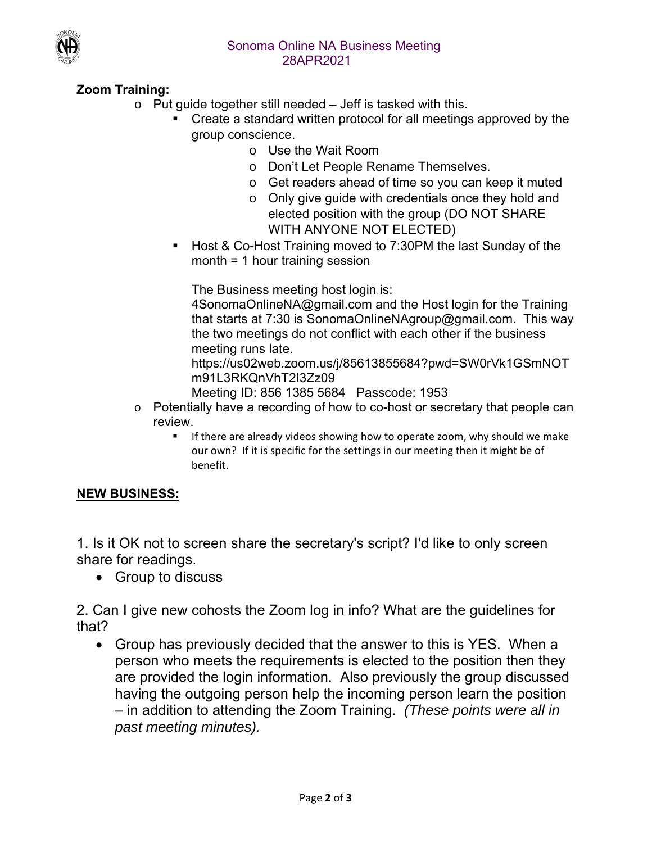

# **Zoom Training:**

- $\circ$  Put guide together still needed  $-$  Jeff is tasked with this.
	- Create a standard written protocol for all meetings approved by the group conscience.
		- o Use the Wait Room
		- o Don't Let People Rename Themselves.
		- o Get readers ahead of time so you can keep it muted
		- o Only give guide with credentials once they hold and elected position with the group (DO NOT SHARE WITH ANYONE NOT ELECTED)
	- Host & Co-Host Training moved to 7:30PM the last Sunday of the month = 1 hour training session

The Business meeting host login is:

4SonomaOnlineNA@gmail.com and the Host login for the Training that starts at 7:30 is SonomaOnlineNAgroup@gmail.com. This way the two meetings do not conflict with each other if the business meeting runs late.

https://us02web.zoom.us/j/85613855684?pwd=SW0rVk1GSmNOT m91L3RKQnVhT2I3Zz09

Meeting ID: 856 1385 5684 Passcode: 1953

- o Potentially have a recording of how to co-host or secretary that people can review.
	- **If there are already videos showing how to operate zoom, why should we make** our own? If it is specific for the settings in our meeting then it might be of benefit.

## **NEW BUSINESS:**

1. Is it OK not to screen share the secretary's script? I'd like to only screen share for readings.

• Group to discuss

2. Can I give new cohosts the Zoom log in info? What are the guidelines for that?

 Group has previously decided that the answer to this is YES. When a person who meets the requirements is elected to the position then they are provided the login information. Also previously the group discussed having the outgoing person help the incoming person learn the position – in addition to attending the Zoom Training. *(These points were all in past meeting minutes).*